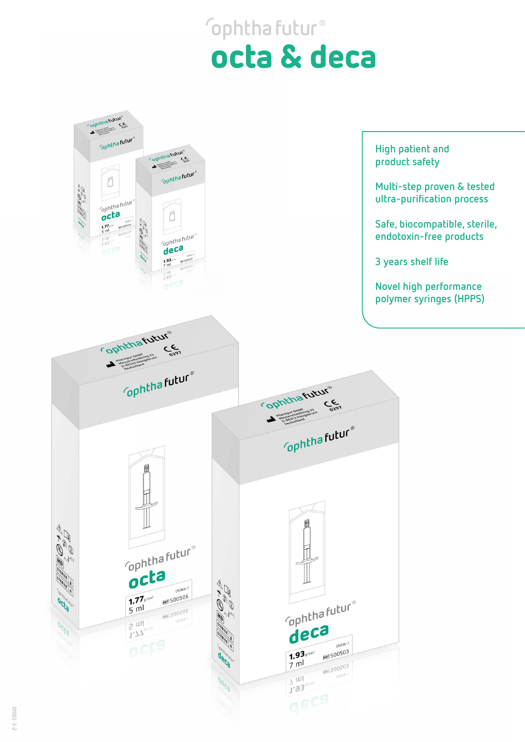## **ophthafutur®** octa & deca